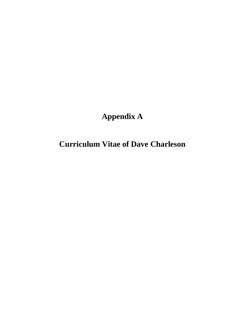# **Appendix A**

**Curriculum Vitae of Dave Charleson**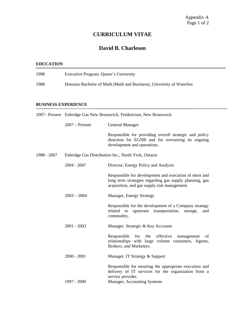## **CURRICULUM VITAE**

### **David B. Charleson**

#### **EDUCATION**

| 1998 | Executive Program, Queen's University                                |
|------|----------------------------------------------------------------------|
| 1988 | Honours Bachelor of Math (Math and Business), University of Waterloo |

#### **BUSINESS EXPERIENCE**

|             | 2007– Present Enbridge Gas New Brunswick, Fredericton, New Brunswick |                                                                                                                                                                   |  |
|-------------|----------------------------------------------------------------------|-------------------------------------------------------------------------------------------------------------------------------------------------------------------|--|
|             | $2007$ – Present                                                     | General Manager                                                                                                                                                   |  |
|             |                                                                      | Responsible for providing overall strategic and policy<br>direction for EGNB and for overseeing its ongoing<br>development and operations.                        |  |
| 1988 - 2007 |                                                                      | Enbridge Gas Distribution Inc., North York, Ontario                                                                                                               |  |
|             | $2004 - 2007$                                                        | Director, Energy Policy and Analysis                                                                                                                              |  |
|             |                                                                      | Responsible for development and execution of short and<br>long term strategies regarding gas supply planning, gas<br>acquisition, and gas supply risk management. |  |
|             | $2003 - 2004$                                                        | Manager, Energy Strategy                                                                                                                                          |  |
|             |                                                                      | Responsible for the development of a Company strategy<br>related to<br>upstream transportation,<br>storage,<br>and<br>commodity.                                  |  |
|             | $2001 - 2003$                                                        | Manager, Strategic & Key Accounts                                                                                                                                 |  |
|             |                                                                      | Responsible<br>for<br>the effective<br>management<br>of<br>relationships with large volume customers, Agents,<br>Brokers, and Marketers.                          |  |
|             | $2000 - 2001$                                                        | Manager, IT Strategy & Support                                                                                                                                    |  |
|             |                                                                      | Responsible for ensuring the appropriate execution and<br>delivery of IT services for the organization from a<br>service provider.                                |  |
|             | 1997 - 2000                                                          | Manager, Accounting Systems                                                                                                                                       |  |